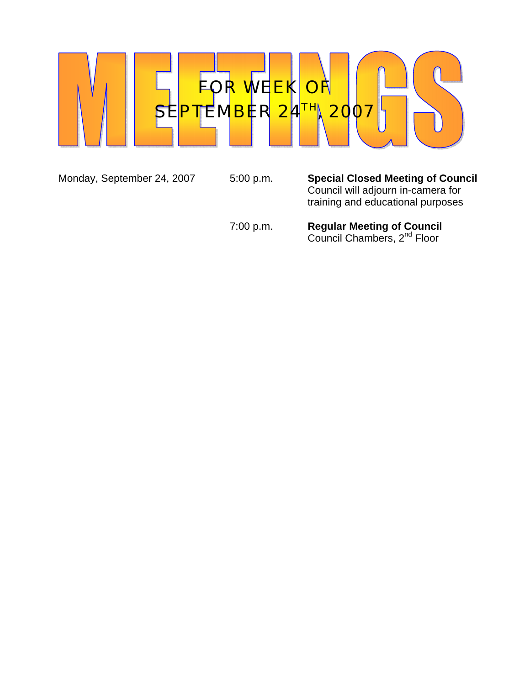

Monday, September 24, 2007 5:00 p.m. **Special Closed Meeting of Council** Council will adjourn in-camera for training and educational purposes

 7:00 p.m. **Regular Meeting of Council Council Chambers, 2<sup>nd</sup> Floor**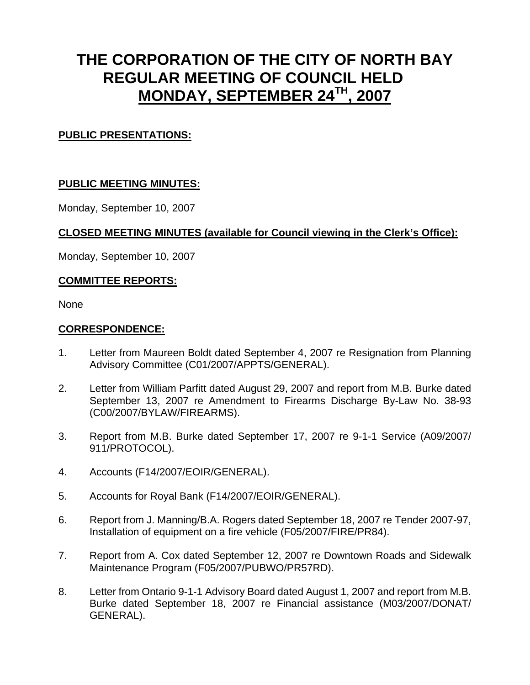# **THE CORPORATION OF THE CITY OF NORTH BAY REGULAR MEETING OF COUNCIL HELD MONDAY, SEPTEMBER 24TH, 2007**

# **PUBLIC PRESENTATIONS:**

## **PUBLIC MEETING MINUTES:**

Monday, September 10, 2007

## **CLOSED MEETING MINUTES (available for Council viewing in the Clerk's Office):**

Monday, September 10, 2007

## **COMMITTEE REPORTS:**

None

#### **CORRESPONDENCE:**

- 1. Letter from Maureen Boldt dated September 4, 2007 re Resignation from Planning Advisory Committee (C01/2007/APPTS/GENERAL).
- 2. Letter from William Parfitt dated August 29, 2007 and report from M.B. Burke dated September 13, 2007 re Amendment to Firearms Discharge By-Law No. 38-93 (C00/2007/BYLAW/FIREARMS).
- 3. Report from M.B. Burke dated September 17, 2007 re 9-1-1 Service (A09/2007/ 911/PROTOCOL).
- 4. Accounts (F14/2007/EOIR/GENERAL).
- 5. Accounts for Royal Bank (F14/2007/EOIR/GENERAL).
- 6. Report from J. Manning/B.A. Rogers dated September 18, 2007 re Tender 2007-97, Installation of equipment on a fire vehicle (F05/2007/FIRE/PR84).
- 7. Report from A. Cox dated September 12, 2007 re Downtown Roads and Sidewalk Maintenance Program (F05/2007/PUBWO/PR57RD).
- 8. Letter from Ontario 9-1-1 Advisory Board dated August 1, 2007 and report from M.B. Burke dated September 18, 2007 re Financial assistance (M03/2007/DONAT/ GENERAL).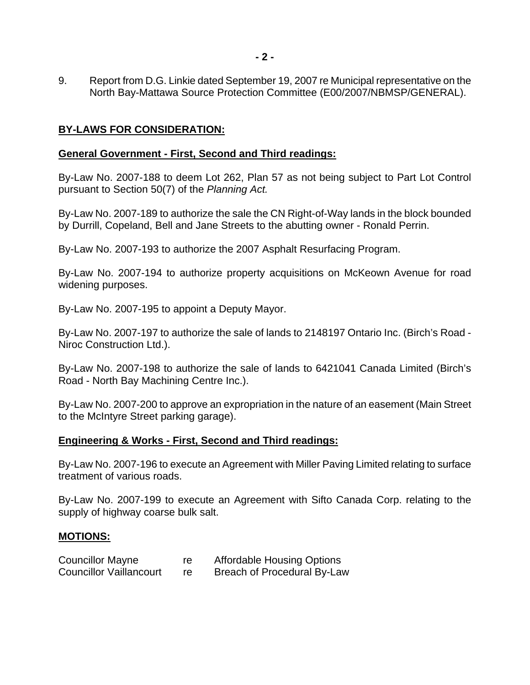9. Report from D.G. Linkie dated September 19, 2007 re Municipal representative on the North Bay-Mattawa Source Protection Committee (E00/2007/NBMSP/GENERAL).

### **BY-LAWS FOR CONSIDERATION:**

#### **General Government - First, Second and Third readings:**

By-Law No. 2007-188 to deem Lot 262, Plan 57 as not being subject to Part Lot Control pursuant to Section 50(7) of the *Planning Act.*

By-Law No. 2007-189 to authorize the sale the CN Right-of-Way lands in the block bounded by Durrill, Copeland, Bell and Jane Streets to the abutting owner - Ronald Perrin.

By-Law No. 2007-193 to authorize the 2007 Asphalt Resurfacing Program.

By-Law No. 2007-194 to authorize property acquisitions on McKeown Avenue for road widening purposes.

By-Law No. 2007-195 to appoint a Deputy Mayor.

By-Law No. 2007-197 to authorize the sale of lands to 2148197 Ontario Inc. (Birch's Road - Niroc Construction Ltd.).

By-Law No. 2007-198 to authorize the sale of lands to 6421041 Canada Limited (Birch's Road - North Bay Machining Centre Inc.).

By-Law No. 2007-200 to approve an expropriation in the nature of an easement (Main Street to the McIntyre Street parking garage).

#### **Engineering & Works - First, Second and Third readings:**

By-Law No. 2007-196 to execute an Agreement with Miller Paving Limited relating to surface treatment of various roads.

By-Law No. 2007-199 to execute an Agreement with Sifto Canada Corp. relating to the supply of highway coarse bulk salt.

#### **MOTIONS:**

| <b>Councillor Mayne</b>        | re | <b>Affordable Housing Options</b> |
|--------------------------------|----|-----------------------------------|
| <b>Councillor Vaillancourt</b> |    | Breach of Procedural By-Law       |